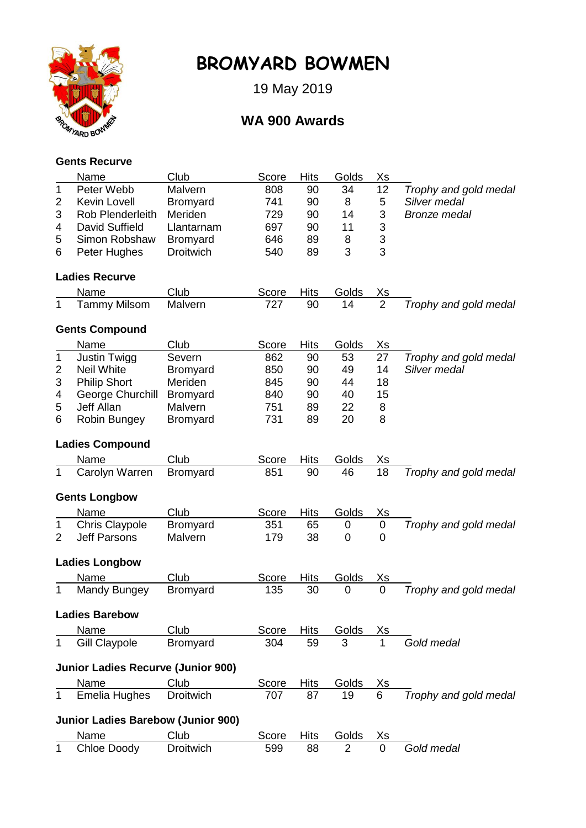

# **BROMYARD BOWMEN**

19 May 2019

## **WA 900 Awards**

### **Gents Recurve**

|                | Name                                      | Club             | Score        | <b>Hits</b> | Golds          | <u>Xs</u>      |                       |
|----------------|-------------------------------------------|------------------|--------------|-------------|----------------|----------------|-----------------------|
| $\mathbf{1}$   | Peter Webb                                | Malvern          | 808          | 90          | 34             | 12             | Trophy and gold medal |
| $\overline{2}$ | Kevin Lovell                              | <b>Bromyard</b>  | 741          | 90          | 8              | 5              | Silver medal          |
| 3              | Rob Plenderleith                          | Meriden          | 729          | 90          | 14             | 3              | <b>Bronze</b> medal   |
| 4              | <b>David Suffield</b>                     | Llantarnam       | 697          | 90          | 11             | 3              |                       |
| 5              | Simon Robshaw                             | <b>Bromyard</b>  | 646          | 89          | 8              | 3              |                       |
| 6              | Peter Hughes                              | <b>Droitwich</b> | 540          | 89          | 3              | 3              |                       |
|                | <b>Ladies Recurve</b>                     |                  |              |             |                |                |                       |
|                | Name                                      | Club             | <b>Score</b> | Hits        | <b>Golds</b>   | <u>Xs</u>      |                       |
| $\mathbf{1}$   | <b>Tammy Milsom</b>                       | Malvern          | 727          | 90          | 14             | $\overline{2}$ | Trophy and gold medal |
|                | <b>Gents Compound</b>                     |                  |              |             |                |                |                       |
|                | Name                                      | Club             | Score        | <b>Hits</b> | Golds          | <u>Xs</u>      |                       |
| 1              | <b>Justin Twigg</b>                       | Severn           | 862          | 90          | 53             | 27             | Trophy and gold medal |
| $\overline{2}$ | <b>Neil White</b>                         | <b>Bromyard</b>  | 850          | 90          | 49             | 14             | Silver medal          |
| 3              | <b>Philip Short</b>                       | Meriden          | 845          | 90          | 44             | 18             |                       |
| 4              | George Churchill                          | Bromyard         | 840          | 90          | 40             | 15             |                       |
| 5              | Jeff Allan                                | Malvern          | 751          | 89          | 22             | 8              |                       |
| 6              | Robin Bungey                              | Bromyard         | 731          | 89          | 20             | 8              |                       |
|                | <b>Ladies Compound</b>                    |                  |              |             |                |                |                       |
|                | Name                                      | Club             | Score        | <b>Hits</b> | Golds          | <u>Xs</u>      |                       |
| $\mathbf{1}$   | Carolyn Warren                            | <b>Bromyard</b>  | 851          | 90          | 46             | 18             | Trophy and gold medal |
|                | <b>Gents Longbow</b>                      |                  |              |             |                |                |                       |
|                | Name                                      | Club             | Score        | <b>Hits</b> | Golds          | <u>Xs</u>      |                       |
| $\mathbf 1$    | <b>Chris Claypole</b>                     | Bromyard         | 351          | 65          | 0              | $\pmb{0}$      | Trophy and gold medal |
| $\overline{2}$ | <b>Jeff Parsons</b>                       | Malvern          | 179          | 38          | 0              | 0              |                       |
|                | <b>Ladies Longbow</b>                     |                  |              |             |                |                |                       |
|                | Name                                      | Club             | Score        | <b>Hits</b> | Golds          | <u>Xs</u>      |                       |
| $\mathbf{1}$   | Mandy Bungey                              | <b>Bromyard</b>  | 135          | 30          | 0              | $\overline{0}$ | Trophy and gold medal |
|                | <b>Ladies Barebow</b>                     |                  |              |             |                |                |                       |
|                | Name                                      | Club             | Score        | <u>Hits</u> | Golds          | Хs             |                       |
| 1              | <b>Gill Claypole</b>                      | Bromyard         | 304          | 59          | 3              |                | Gold medal            |
|                | <b>Junior Ladies Recurve (Junior 900)</b> |                  |              |             |                |                |                       |
|                | Name                                      | Club             | <b>Score</b> | <u>Hits</u> | <u>Golds</u>   | <u>Xs</u>      |                       |
| $\mathbf 1$    | <b>Emelia Hughes</b>                      | <b>Droitwich</b> | 707          | 87          | 19             | 6              | Trophy and gold medal |
|                | <b>Junior Ladies Barebow (Junior 900)</b> |                  |              |             |                |                |                       |
|                | Name                                      | Club             | Score        | <b>Hits</b> | Golds          | <u>Xs</u>      |                       |
|                | <b>Chloe Doody</b>                        | <b>Droitwich</b> | 599          | 88          | $\overline{2}$ | $\mathbf 0$    | Gold medal            |